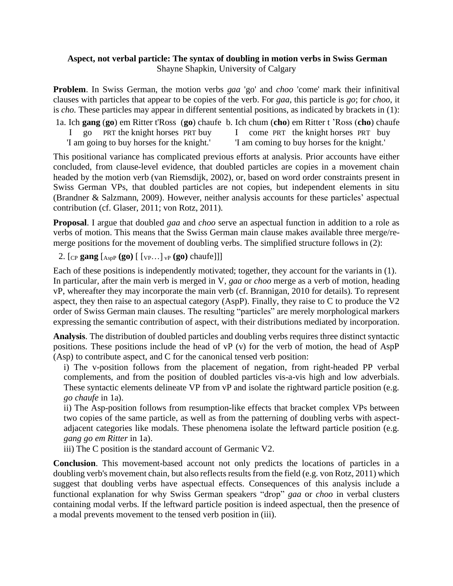## **Aspect, not verbal particle: The syntax of doubling in motion verbs in Swiss German** Shayne Shapkin, University of Calgary

**Problem**. In Swiss German, the motion verbs *gaa* 'go' and *choo* 'come' mark their infinitival clauses with particles that appear to be copies of the verb. For *gaa*, this particle is *go*; for *choo*, it is *cho.* These particles may appear in different sentential positions, as indicated by brackets in (1):

- 1a. Ich **gang** (**go**) em Ritter t'Ross (**go**) chaufe b. Ich chum (**cho**) em Ritter t 'Ross (**cho**) chaufe
	- I go PRT the knight horses PRT buy
- I come PRT the knight horses PRT buy
- 'I am going to buy horses for the knight.'
- 'I am coming to buy horses for the knight.'

This positional variance has complicated previous efforts at analysis. Prior accounts have either concluded, from clause-level evidence, that doubled particles are copies in a movement chain headed by the motion verb (van Riemsdijk, 2002), or, based on word order constraints present in Swiss German VPs, that doubled particles are not copies, but independent elements in situ (Brandner & Salzmann, 2009). However, neither analysis accounts for these particles' aspectual contribution (cf. Glaser, 2011; von Rotz, 2011).

**Proposal**. I argue that doubled *gaa* and *choo* serve an aspectual function in addition to a role as verbs of motion. This means that the Swiss German main clause makes available three merge/remerge positions for the movement of doubling verbs. The simplified structure follows in (2):

2. [CP **gang** [AspP **(go)** [ [VP…] vP **(go)** chaufe]]]

Each of these positions is independently motivated; together, they account for the variants in (1). In particular, after the main verb is merged in V, *gaa* or *choo* merge as a verb of motion, heading vP, whereafter they may incorporate the main verb (cf. Brannigan, 2010 for details). To represent aspect, they then raise to an aspectual category (AspP). Finally, they raise to C to produce the V2 order of Swiss German main clauses. The resulting "particles" are merely morphological markers expressing the semantic contribution of aspect, with their distributions mediated by incorporation.

**Analysis**. The distribution of doubled particles and doubling verbs requires three distinct syntactic positions. These positions include the head of vP (v) for the verb of motion, the head of AspP (Asp) to contribute aspect, and C for the canonical tensed verb position:

i) The v-position follows from the placement of negation, from right-headed PP verbal complements, and from the position of doubled particles vis-a-vis high and low adverbials. These syntactic elements delineate VP from vP and isolate the rightward particle position (e.g. *go chaufe* in 1a).

ii) The Asp-position follows from resumption-like effects that bracket complex VPs between two copies of the same particle, as well as from the patterning of doubling verbs with aspectadjacent categories like modals. These phenomena isolate the leftward particle position (e.g. *gang go em Ritter* in 1a).

iii) The C position is the standard account of Germanic V2.

**Conclusion**. This movement-based account not only predicts the locations of particles in a doubling verb's movement chain, but also reflects results from the field (e.g. von Rotz, 2011) which suggest that doubling verbs have aspectual effects. Consequences of this analysis include a functional explanation for why Swiss German speakers "drop" *gaa* or *choo* in verbal clusters containing modal verbs. If the leftward particle position is indeed aspectual, then the presence of a modal prevents movement to the tensed verb position in (iii).